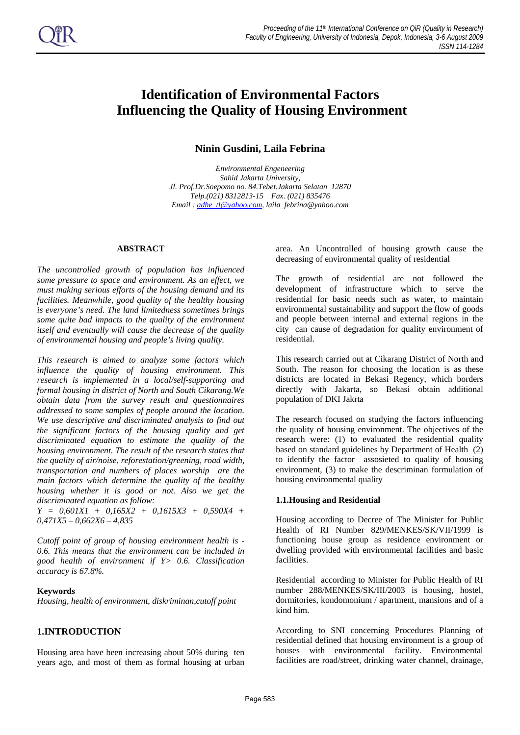# **Identification of Environmental Factors Influencing the Quality of Housing Environment**

# **Ninin Gusdini, Laila Febrina**

*Environmental Engeneering Sahid Jakarta University, Jl. Prof.Dr.Soepomo no. 84.Tebet.Jakarta Selatan 12870 Telp.(021) 8312813-15 Fax. (021) 835476 Email : adhe\_tl@yahoo.com, laila\_febrina@yahoo.com* 

#### **ABSTRACT**

*The uncontrolled growth of population has influenced some pressure to space and environment. As an effect, we must making serious efforts of the housing demand and its facilities. Meanwhile, good quality of the healthy housing is everyone's need. The land limitedness sometimes brings some quite bad impacts to the quality of the environment itself and eventually will cause the decrease of the quality of environmental housing and people's living quality.* 

*This research is aimed to analyze some factors which influence the quality of housing environment. This research is implemented in a local/self-supporting and formal housing in district of North and South Cikarang.We obtain data from the survey result and questionnaires addressed to some samples of people around the location. We use descriptive and discriminated analysis to find out the significant factors of the housing quality and get discriminated equation to estimate the quality of the housing environment. The result of the research states that the quality of air/noise, reforestation/greening, road width, transportation and numbers of places worship are the main factors which determine the quality of the healthy housing whether it is good or not. Also we get the discriminated equation as follow:* 

*Y = 0,601X1 + 0,165X2 + 0,1615X3 + 0,590X4 + 0,471X5 – 0,662X6 – 4,835* 

*Cutoff point of group of housing environment health is - 0.6. This means that the environment can be included in good health of environment if Y> 0.6. Classification accuracy is 67.8%.* 

#### **Keywords**

*Housing, health of environment, diskriminan,cutoff point*

# **1.INTRODUCTION**

Housing area have been increasing about 50% during ten years ago, and most of them as formal housing at urban area. An Uncontrolled of housing growth cause the decreasing of environmental quality of residential

The growth of residential are not followed the development of infrastructure which to serve the residential for basic needs such as water, to maintain environmental sustainability and support the flow of goods and people between internal and external regions in the city can cause of degradation for quality environment of residential.

This research carried out at Cikarang District of North and South. The reason for choosing the location is as these districts are located in Bekasi Regency, which borders directly with Jakarta, so Bekasi obtain additional population of DKI Jakrta

The research focused on studying the factors influencing the quality of housing environment. The objectives of the research were: (1) to evaluated the residential quality based on standard guidelines by Department of Health (2) to identify the factor assosieted to quality of housing environment, (3) to make the descriminan formulation of housing environmental quality

#### **1.1.Housing and Residential**

Housing according to Decree of The Minister for Public Health of RI Number 829/MENKES/SK/VII/1999 is functioning house group as residence environment or dwelling provided with environmental facilities and basic facilities.

Residential according to Minister for Public Health of RI number 288/MENKES/SK/III/2003 is housing, hostel, dormitories, kondomonium / apartment, mansions and of a kind him.

According to SNI concerning Procedures Planning of residential defined that housing environment is a group of houses with environmental facility. Environmental facilities are road/street, drinking water channel, drainage,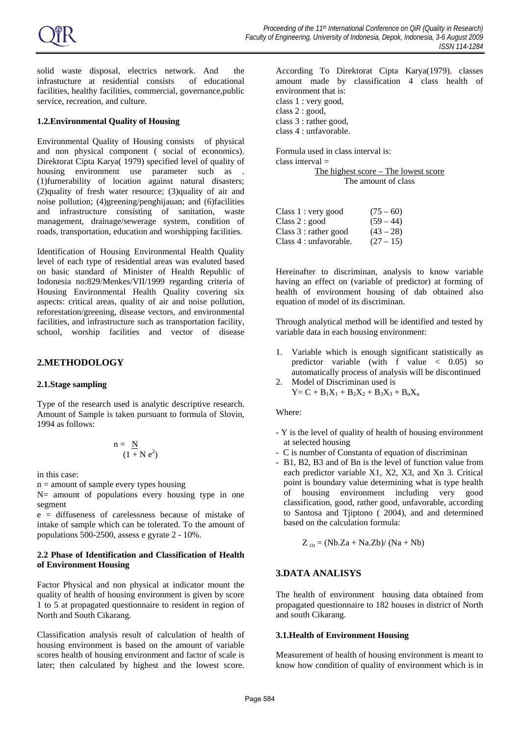solid waste disposal, electrics network. And the infrastucture at residential consists of educational facilities, healthy facilities, commercial, governance,public service, recreation, and culture.

## **1.2.Environmental Quality of Housing**

Environmental Quality of Housing consists of physical and non physical component ( social of economics). Direktorat Cipta Karya( 1979) specified level of quality of housing environment use parameter such as . (1)furnerability of location against natural disasters; (2)quality of fresh water resource; (3)quality of air and noise pollution; (4)greening/penghijauan; and (6)facilities and infrastructure consisting of sanitation, waste management, drainage/sewerage system, condition of roads, transportation, education and worshipping facilities.

Identification of Housing Environmental Health Quality level of each type of residential areas was evaluted based on basic standard of Minister of Health Republic of Indonesia no:829/Menkes/VII/1999 regarding criteria of Housing Environmental Health Quality covering six aspects: critical areas, quality of air and noise pollution, reforestation/greening, disease vectors, and environmental facilities, and infrastructure such as transportation facility, school, worship facilities and vector of disease

## **2.METHODOLOGY**

#### **2.1.Stage sampling**

Type of the research used is analytic descriptive research. Amount of Sample is taken pursuant to formula of Slovin, 1994 as follows:

$$
n = \frac{N}{(1 + N e^2)}
$$

in this case:

 $n =$  amount of sample every types housing

N= amount of populations every housing type in one segment

e = diffuseness of carelessness because of mistake of intake of sample which can be tolerated. To the amount of populations 500-2500, assess e gyrate 2 - 10%.

## **2.2 Phase of Identification and Classification of Health of Environment Housing**

Factor Physical and non physical at indicator mount the quality of health of housing environment is given by score 1 to 5 at propagated questionnaire to resident in region of North and South Cikarang.

Classification analysis result of calculation of health of housing environment is based on the amount of variable scores health of housing environment and factor of scale is later; then calculated by highest and the lowest score. According To Direktorat Cipta Karya(1979), classes amount made by classification 4 class health of environment that is: class 1 : very good, class 2 : good, class 3 : rather good, class 4 : unfavorable.

Formula used in class interval is: class interval = The highest score – The lowest score The amount of class

| Class 1 : very good    | $(75-60)$   |
|------------------------|-------------|
| Class 2 : good         | $(59 - 44)$ |
| Class $3:$ rather good | $(43 - 28)$ |
| Class 4 : unfavorable. | $(27-15)$   |

Hereinafter to discriminan, analysis to know variable having an effect on (variable of predictor) at forming of health of environment housing of dab obtained also equation of model of its discriminan.

Through analytical method will be identified and tested by variable data in each housing environment:

- 1. Variable which is enough significant statistically as predictor variable (with f value < 0.05) so automatically process of analysis will be discontinued
- 2. Model of Discriminan used is  $Y = C + B_1X_1 + B_2X_2 + B_3X_3 + B_nX_n$

Where:

- Y is the level of quality of health of housing environment at selected housing
- C is number of Constanta of equation of discriminan
- B1, B2, B3 and of Bn is the level of function value from each predictor variable X1, X2, X3, and Xn 3. Critical point is boundary value determining what is type health of housing environment including very good classification, good, rather good, unfavorable, according to Santosa and Tjiptono ( 2004), and and determined based on the calculation formula:

$$
Z_{cu} = (Nb.Za + Na.Zb) / (Na + Nb)
$$

# **3.DATA ANALISYS**

The health of environment housing data obtained from propagated questionnaire to 182 houses in district of North and south Cikarang.

## **3.1.Health of Environment Housing**

Measurement of health of housing environment is meant to know how condition of quality of environment which is in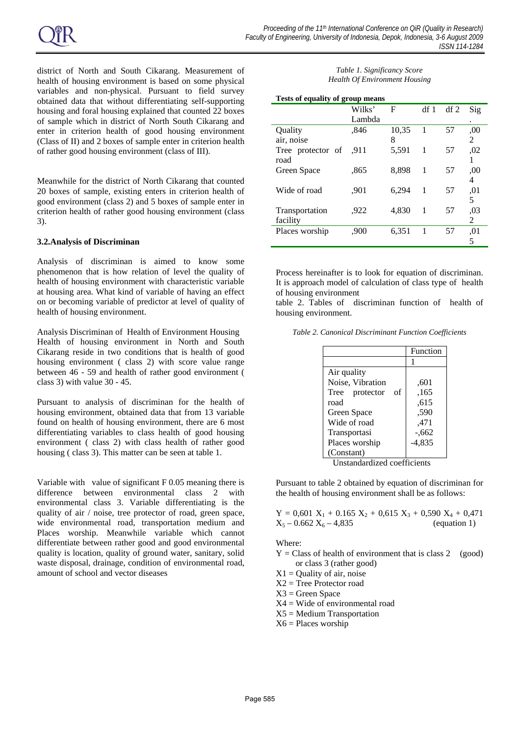district of North and South Cikarang. Measurement of health of housing environment is based on some physical variables and non-physical. Pursuant to field survey obtained data that without differentiating self-supporting housing and foral housing explained that counted 22 boxes of sample which in district of North South Cikarang and enter in criterion health of good housing environment (Class of II) and 2 boxes of sample enter in criterion health of rather good housing environment (class of III).

Meanwhile for the district of North Cikarang that counted 20 boxes of sample, existing enters in criterion health of good environment (class 2) and 5 boxes of sample enter in criterion health of rather good housing environment (class 3).

## **3.2.Analysis of Discriminan**

Analysis of discriminan is aimed to know some phenomenon that is how relation of level the quality of health of housing environment with characteristic variable at housing area. What kind of variable of having an effect on or becoming variable of predictor at level of quality of health of housing environment.

Analysis Discriminan of Health of Environment Housing Health of housing environment in North and South Cikarang reside in two conditions that is health of good housing environment ( class 2) with score value range between 46 - 59 and health of rather good environment ( class 3) with value 30 - 45.

Pursuant to analysis of discriminan for the health of housing environment, obtained data that from 13 variable found on health of housing environment, there are 6 most differentiating variables to class health of good housing environment ( class 2) with class health of rather good housing ( class 3). This matter can be seen at table 1.

Variable with value of significant F 0.05 meaning there is difference between environmental class 2 with environmental class 3. Variable differentiating is the quality of air / noise, tree protector of road, green space, wide environmental road, transportation medium and Places worship. Meanwhile variable which cannot differentiate between rather good and good environmental quality is location, quality of ground water, sanitary, solid waste disposal, drainage, condition of environmental road, amount of school and vector diseases

## *Table 1. Significancy Score Health Of Environment Housing*

| <b>Tests of equality of group means</b> |        |       |     |        |     |
|-----------------------------------------|--------|-------|-----|--------|-----|
|                                         | Wilks' | F     | df1 | $df$ 2 | Sig |
|                                         | Lambda |       |     |        |     |
| Ouality                                 | .846   | 10,35 | 1   | 57     | .00 |
| air, noise                              |        | 8     |     |        | 2   |
| Tree protector of                       | .911   | 5,591 | 1   | 57     | .02 |
| road                                    |        |       |     |        |     |
| Green Space                             | .865   | 8.898 | 1   | 57     | ,00 |
|                                         |        |       |     |        | 4   |
| Wide of road                            | .901   | 6.294 | 1   | 57     | .01 |
|                                         |        |       |     |        | 5   |
| Transportation                          | .922   | 4,830 | 1   | 57     | ,03 |
| facility                                |        |       |     |        | 2   |
| Places worship                          | .900   | 6,351 | -1  | 57     | .01 |
|                                         |        |       |     |        | 5   |

Process hereinafter is to look for equation of discriminan. It is approach model of calculation of class type of health of housing environment

table 2. Tables of discriminan function of health of housing environment.

| Table 2. Canonical Discriminant Function Coefficients |  |
|-------------------------------------------------------|--|
|-------------------------------------------------------|--|

|                         | Function |
|-------------------------|----------|
|                         |          |
| Air quality             |          |
| Noise, Vibration        | .601     |
| Tree<br>of<br>protector | .165     |
| road                    | .615     |
| Green Space             | .590     |
| Wide of road            | .471     |
| Transportasi            | $-.662$  |
| Places worship          | -4,835   |
| (Constant)              |          |

Unstandardized coefficients

Pursuant to table 2 obtained by equation of discriminan for the health of housing environment shall be as follows:

 $Y = 0,601$   $X_1 + 0.165$   $X_2 + 0,615$   $X_3 + 0,590$   $X_4 + 0,471$  $X_5 - 0.662 X_6 - 4,835$  (equation 1)

Where:

 $Y = Class of health of environment that is class 2 (good)$ or class 3 (rather good)

 $X1 =$ Quality of air, noise

X2 = Tree Protector road

 $X3 =$  Green Space

- X4 = Wide of environmental road
- X5 = Medium Transportation
- $X6 =$  Places worship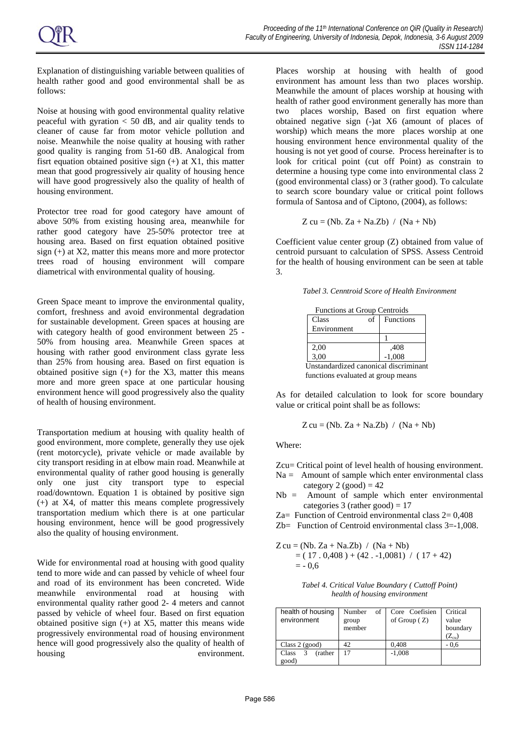Explanation of distinguishing variable between qualities of health rather good and good environmental shall be as follows:

Noise at housing with good environmental quality relative peaceful with gyration  $< 50$  dB, and air quality tends to cleaner of cause far from motor vehicle pollution and noise. Meanwhile the noise quality at housing with rather good quality is ranging from 51-60 dB. Analogical from fisrt equation obtained positive sign  $(+)$  at X1, this matter mean that good progressively air quality of housing hence will have good progressively also the quality of health of housing environment.

Protector tree road for good category have amount of above 50% from existing housing area, meanwhile for rather good category have 25-50% protector tree at housing area. Based on first equation obtained positive sign (+) at X2, matter this means more and more protector trees road of housing environment will compare diametrical with environmental quality of housing.

Green Space meant to improve the environmental quality, comfort, freshness and avoid environmental degradation for sustainable development. Green spaces at housing are with category health of good environment between 25 - 50% from housing area. Meanwhile Green spaces at housing with rather good environment class gyrate less than 25% from housing area. Based on first equation is obtained positive sign  $(+)$  for the X3, matter this means more and more green space at one particular housing environment hence will good progressively also the quality of health of housing environment.

Transportation medium at housing with quality health of good environment, more complete, generally they use ojek (rent motorcycle), private vehicle or made available by city transport residing in at elbow main road. Meanwhile at environmental quality of rather good housing is generally only one just city transport type to especial road/downtown. Equation 1 is obtained by positive sign (+) at X4, of matter this means complete progressively transportation medium which there is at one particular housing environment, hence will be good progressively also the quality of housing environment.

Wide for environmental road at housing with good quality tend to more wide and can passed by vehicle of wheel four and road of its environment has been concreted. Wide meanwhile environmental road at housing with environmental quality rather good 2- 4 meters and cannot passed by vehicle of wheel four. Based on first equation obtained positive sign (+) at X5, matter this means wide progressively environmental road of housing environment hence will good progressively also the quality of health of housing environment. Places worship at housing with health of good environment has amount less than two places worship. Meanwhile the amount of places worship at housing with health of rather good environment generally has more than two places worship, Based on first equation where obtained negative sign (-)at X6 (amount of places of worship) which means the more places worship at one housing environment hence environmental quality of the housing is not yet good of course. Process hereinafter is to look for critical point (cut off Point) as constrain to determine a housing type come into environmental class 2 (good environmental class) or 3 (rather good). To calculate to search score boundary value or critical point follows formula of Santosa and of Ciptono, (2004), as follows:

$$
Z cu = (Nb. Za + Na.Zb) / (Na + Nb)
$$

Coefficient value center group (Z) obtained from value of centroid pursuant to calculation of SPSS. Assess Centroid for the health of housing environment can be seen at table 3.

*Tabel 3. Cenntroid Score of Health Environment* 

|                                       | Functions at Group Centroids |    |           |  |
|---------------------------------------|------------------------------|----|-----------|--|
|                                       | Class                        | of | Functions |  |
|                                       | Environment                  |    |           |  |
|                                       |                              |    |           |  |
|                                       | $2,00$<br>$3,00$             |    | ,408      |  |
|                                       |                              |    | $-1,008$  |  |
| Unstandardized canonical discriminant |                              |    |           |  |
| functions evaluated at group means    |                              |    |           |  |

As for detailed calculation to look for score boundary value or critical point shall be as follows:

$$
Z cu = (Nb. Za + Na.Zb) / (Na + Nb)
$$

Where:

Zcu= Critical point of level health of housing environment.  $Na =$  Amount of sample which enter environmental class

category  $2$  (good) = 42

Nb = Amount of sample which enter environmental categories  $3$  (rather good) = 17

Za= Function of Centroid environmental class  $2=0,408$ 

Zb= Function of Centroid environmental class 3=-1,008.

$$
Z cu = (Nb. Za + Na.Zb) / (Na + Nb)
$$
  
= (17. 0,408) + (42. -1,0081) / (17 + 42)  
= -0,6

| Tabel 4. Critical Value Boundary (Cuttoff Point) |
|--------------------------------------------------|
| health of housing environment                    |

| health of housing<br>environment       | Number<br>οf<br>group<br>member | Core Coefisien<br>of Group $(Z)$ | Critical<br>value<br>boundary<br>$(\rm Z_{\rm cu})$ |
|----------------------------------------|---------------------------------|----------------------------------|-----------------------------------------------------|
| Class $2$ (good)                       | 42                              | 0,408                            | $-0.6$                                              |
| 3<br><i>(rather)</i><br>Class<br>good) | 17                              | $-1,008$                         |                                                     |